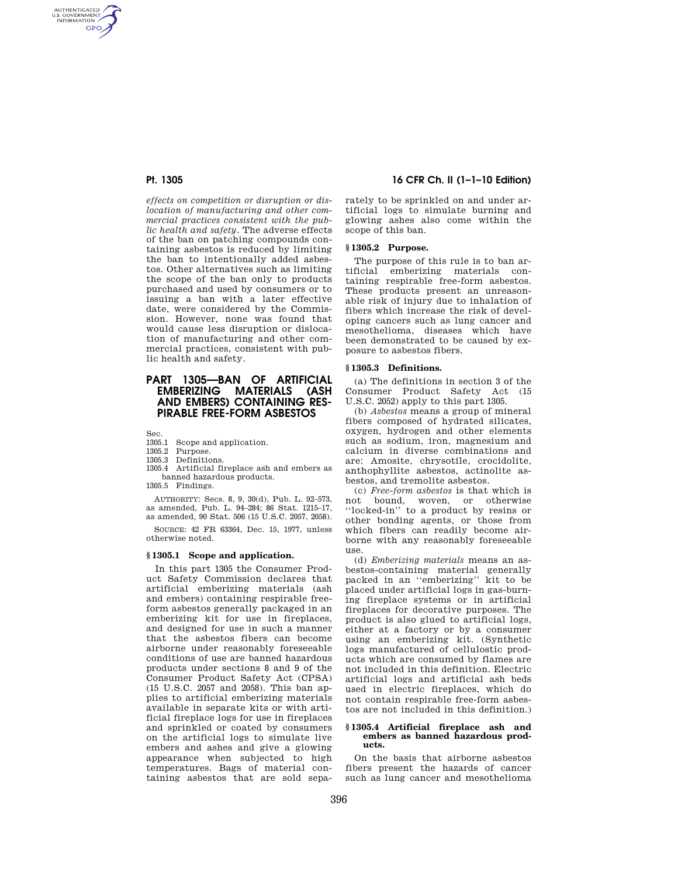AUTHENTICATED<br>U.S. GOVERNMENT<br>INFORMATION **GPO** 

> *effects on competition or disruption or dislocation of manufacturing and other commercial practices consistent with the public health and safety.* The adverse effects of the ban on patching compounds containing asbestos is reduced by limiting the ban to intentionally added asbestos. Other alternatives such as limiting the scope of the ban only to products purchased and used by consumers or to issuing a ban with a later effective date, were considered by the Commission. However, none was found that would cause less disruption or dislocation of manufacturing and other commercial practices, consistent with public health and safety.

# **PART 1305—BAN OF ARTIFICIAL EMBERIZING MATERIALS (ASH AND EMBERS) CONTAINING RES-PIRABLE FREE-FORM ASBESTOS**

Sec.

- 1305.1 Scope and application.
- 1305.2 Purpose.
- 1305.3 Definitions.

1305.4 Artificial fireplace ash and embers as banned hazardous products.

1305.5 Findings.

AUTHORITY: Secs. 8, 9, 30(d), Pub. L. 92–573, as amended, Pub. L. 94–284; 86 Stat. 1215–17, as amended, 90 Stat. 506 (15 U.S.C. 2057, 2058).

SOURCE: 42 FR 63364, Dec. 15, 1977, unless otherwise noted.

#### **§ 1305.1 Scope and application.**

In this part 1305 the Consumer Product Safety Commission declares that artificial emberizing materials (ash and embers) containing respirable freeform asbestos generally packaged in an emberizing kit for use in fireplaces, and designed for use in such a manner that the asbestos fibers can become airborne under reasonably foreseeable conditions of use are banned hazardous products under sections 8 and 9 of the Consumer Product Safety Act (CPSA) (15 U.S.C. 2057 and 2058). This ban applies to artificial emberizing materials available in separate kits or with artificial fireplace logs for use in fireplaces and sprinkled or coated by consumers on the artificial logs to simulate live embers and ashes and give a glowing appearance when subjected to high temperatures. Bags of material containing asbestos that are sold sepa-

# **Pt. 1305 16 CFR Ch. II (1–1–10 Edition)**

rately to be sprinkled on and under artificial logs to simulate burning and glowing ashes also come within the scope of this ban.

## **§ 1305.2 Purpose.**

The purpose of this rule is to ban artificial emberizing materials containing respirable free-form asbestos. These products present an unreasonable risk of injury due to inhalation of fibers which increase the risk of developing cancers such as lung cancer and mesothelioma, diseases which have been demonstrated to be caused by exposure to asbestos fibers.

## **§ 1305.3 Definitions.**

(a) The definitions in section 3 of the Consumer Product Safety Act (15 U.S.C. 2052) apply to this part 1305.

(b) *Asbestos* means a group of mineral fibers composed of hydrated silicates, oxygen, hydrogen and other elements such as sodium, iron, magnesium and calcium in diverse combinations and are: Amosite, chrysotile, crocidolite, anthophyllite asbestos, actinolite asbestos, and tremolite asbestos.

(c) *Free-form asbestos* is that which is not bound, woven, or otherwise ''locked-in'' to a product by resins or other bonding agents, or those from which fibers can readily become airborne with any reasonably foreseeable use.

(d) *Emberizing materials* means an asbestos-containing material generally packed in an ''emberizing'' kit to be placed under artificial logs in gas-burning fireplace systems or in artificial fireplaces for decorative purposes. The product is also glued to artificial logs, either at a factory or by a consumer using an emberizing kit. (Synthetic logs manufactured of cellulostic products which are consumed by flames are not included in this definition. Electric artificial logs and artificial ash beds used in electric fireplaces, which do not contain respirable free-form asbestos are not included in this definition.)

#### **§ 1305.4 Artificial fireplace ash and embers as banned hazardous products.**

On the basis that airborne asbestos fibers present the hazards of cancer such as lung cancer and mesothelioma